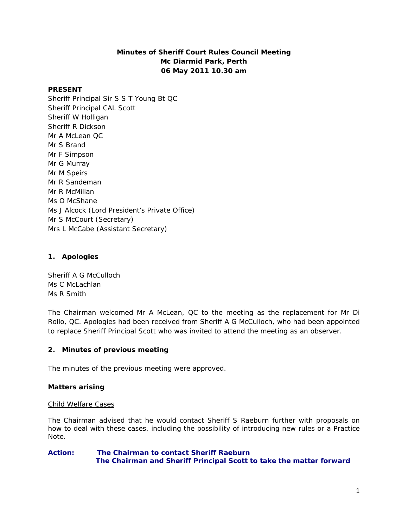# **Minutes of Sheriff Court Rules Council Meeting Mc Diarmid Park, Perth 06 May 2011 10.30 am**

### **PRESENT**

Sheriff Principal Sir S S T Young Bt QC Sheriff Principal CAL Scott Sheriff W Holligan Sheriff R Dickson Mr A McLean QC Mr S Brand Mr F Simpson Mr G Murray Mr M Speirs Mr R Sandeman Mr R McMillan Ms O McShane Ms J Alcock (Lord President's Private Office) Mr S McCourt (Secretary) Mrs L McCabe (Assistant Secretary)

## **1. Apologies**

Sheriff A G McCulloch Ms C McLachlan Ms R Smith

The Chairman welcomed Mr A McLean, QC to the meeting as the replacement for Mr Di Rollo, QC. Apologies had been received from Sheriff A G McCulloch, who had been appointed to replace Sheriff Principal Scott who was invited to attend the meeting as an observer.

# **2. Minutes of previous meeting**

The minutes of the previous meeting were approved.

### **Matters arising**

### Child Welfare Cases

The Chairman advised that he would contact Sheriff S Raeburn further with proposals on how to deal with these cases, including the possibility of introducing new rules or a Practice Note.

### **Action: The Chairman to contact Sheriff Raeburn The Chairman and Sheriff Principal Scott to take the matter forward**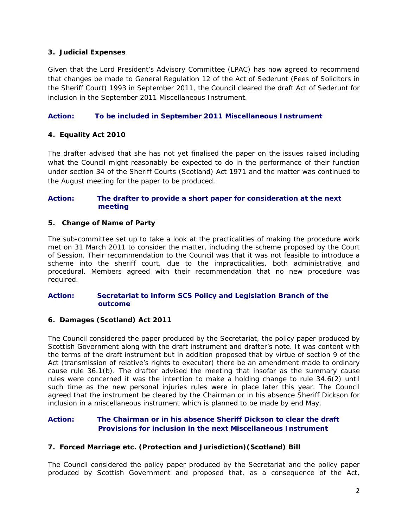## **3. Judicial Expenses**

Given that the Lord President's Advisory Committee (LPAC) has now agreed to recommend that changes be made to General Regulation 12 of the Act of Sederunt (Fees of Solicitors in the Sheriff Court) 1993 in September 2011, the Council cleared the draft Act of Sederunt for inclusion in the September 2011 Miscellaneous Instrument.

## **Action: To be included in September 2011 Miscellaneous Instrument**

## **4. Equality Act 2010**

The drafter advised that she has not yet finalised the paper on the issues raised including what the Council might reasonably be expected to do in the performance of their function under section 34 of the Sheriff Courts (Scotland) Act 1971 and the matter was continued to the August meeting for the paper to be produced.

### **Action: The drafter to provide a short paper for consideration at the next meeting**

### **5. Change of Name of Party**

The sub-committee set up to take a look at the practicalities of making the procedure work met on 31 March 2011 to consider the matter, including the scheme proposed by the Court of Session. Their recommendation to the Council was that it was not feasible to introduce a scheme into the sheriff court, due to the impracticalities, both administrative and procedural. Members agreed with their recommendation that no new procedure was required.

#### **Action: Secretariat to inform SCS Policy and Legislation Branch of the outcome**

### **6. Damages (Scotland) Act 2011**

The Council considered the paper produced by the Secretariat, the policy paper produced by Scottish Government along with the draft instrument and drafter's note. It was content with the terms of the draft instrument but in addition proposed that by virtue of section 9 of the Act (transmission of relative's rights to executor) there be an amendment made to ordinary cause rule 36.1(b). The drafter advised the meeting that insofar as the summary cause rules were concerned it was the intention to make a holding change to rule 34.6(2) until such time as the new personal injuries rules were in place later this year. The Council agreed that the instrument be cleared by the Chairman or in his absence Sheriff Dickson for inclusion in a miscellaneous instrument which is planned to be made by end May.

# **Action: The Chairman or in his absence Sheriff Dickson to clear the draft Provisions for inclusion in the next Miscellaneous Instrument**

### **7. Forced Marriage etc. (Protection and Jurisdiction)(Scotland) Bill**

The Council considered the policy paper produced by the Secretariat and the policy paper produced by Scottish Government and proposed that, as a consequence of the Act,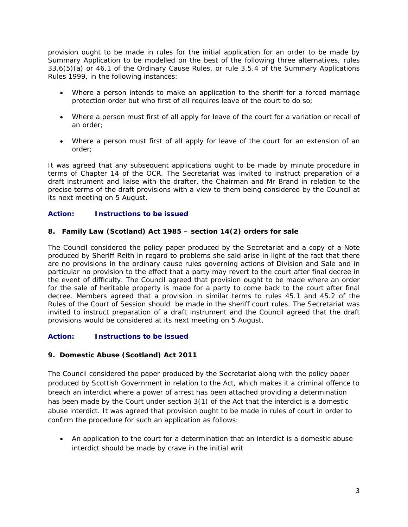provision ought to be made in rules for the initial application for an order to be made by Summary Application to be modelled on the best of the following three alternatives, rules 33.6(5)(a) or 46.1 of the Ordinary Cause Rules, or rule 3.5.4 of the Summary Applications Rules 1999, in the following instances:

- Where a person intends to make an application to the sheriff for a forced marriage protection order but who first of all requires leave of the court to do so;
- Where a person must first of all apply for leave of the court for a variation or recall of an order;
- Where a person must first of all apply for leave of the court for an extension of an order;

It was agreed that any subsequent applications ought to be made by minute procedure in terms of Chapter 14 of the OCR. The Secretariat was invited to instruct preparation of a draft instrument and liaise with the drafter, the Chairman and Mr Brand in relation to the precise terms of the draft provisions with a view to them being considered by the Council at its next meeting on 5 August.

## **Action: Instructions to be issued**

### **8. Family Law (Scotland) Act 1985 – section 14(2) orders for sale**

The Council considered the policy paper produced by the Secretariat and a copy of a Note produced by Sheriff Reith in regard to problems she said arise in light of the fact that there are no provisions in the ordinary cause rules governing actions of Division and Sale and in particular no provision to the effect that a party may revert to the court after final decree in the event of difficulty. The Council agreed that provision ought to be made where an order for the sale of heritable property is made for a party to come back to the court after final decree. Members agreed that a provision in similar terms to rules 45.1 and 45.2 of the Rules of the Court of Session should be made in the sheriff court rules. The Secretariat was invited to instruct preparation of a draft instrument and the Council agreed that the draft provisions would be considered at its next meeting on 5 August.

# **Action: Instructions to be issued**

### **9. Domestic Abuse (Scotland) Act 2011**

The Council considered the paper produced by the Secretariat along with the policy paper produced by Scottish Government in relation to the Act, which makes it a criminal offence to breach an interdict where a power of arrest has been attached providing a determination has been made by the Court under section 3(1) of the Act that the interdict is a domestic abuse interdict. It was agreed that provision ought to be made in rules of court in order to confirm the procedure for such an application as follows:

 An application to the court for a determination that an interdict is a domestic abuse interdict should be made by crave in the initial writ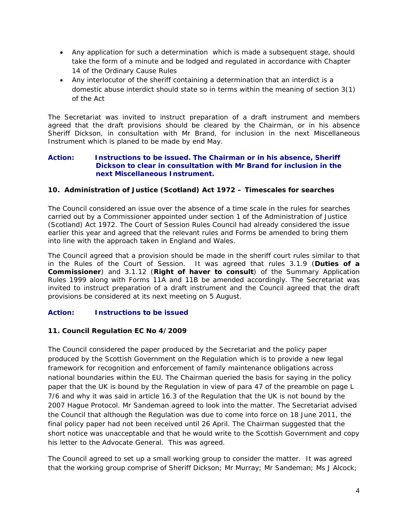- Any application for such a determination which is made a subsequent stage, should take the form of a minute and be lodged and regulated in accordance with Chapter 14 of the Ordinary Cause Rules
- Any interlocutor of the sheriff containing a determination that an interdict is a domestic abuse interdict should state so in terms within the meaning of section 3(1) of the Act

The Secretariat was invited to instruct preparation of a draft instrument and members agreed that the draft provisions should be cleared by the Chairman, or in his absence Sheriff Dickson, in consultation with Mr Brand, for inclusion in the next Miscellaneous Instrument which is planed to be made by end May.

#### **Action: Instructions to be issued. The Chairman or in his absence, Sheriff Dickson to clear in consultation with Mr Brand for inclusion in the next Miscellaneous Instrument.**

# **10. Administration of Justice (Scotland) Act 1972 – Timescales for searches**

The Council considered an issue over the absence of a time scale in the rules for searches carried out by a Commissioner appointed under section 1 of the Administration of Justice (Scotland) Act 1972. The Court of Session Rules Council had already considered the issue earlier this year and agreed that the relevant rules and Forms be amended to bring them into line with the approach taken in England and Wales.

The Council agreed that a provision should be made in the sheriff court rules similar to that in the Rules of the Court of Session. It was agreed that rules 3.1.9 (*Duties of a Commissioner*) and 3.1.12 (*Right of haver to consult*) of the Summary Application Rules 1999 along with Forms 11A and 11B be amended accordingly. The Secretariat was invited to instruct preparation of a draft instrument and the Council agreed that the draft provisions be considered at its next meeting on 5 August.

# **Action: Instructions to be issued**

### **11. Council Regulation EC No 4/2009**

The Council considered the paper produced by the Secretariat and the policy paper produced by the Scottish Government on the Regulation which is to provide a new legal framework for recognition and enforcement of family maintenance obligations across national boundaries within the EU. The Chairman queried the basis for saying in the policy paper that the UK is bound by the Regulation in view of para 47 of the preamble on page L 7/6 and why it was said in article 16.3 of the Regulation that the UK is not bound by the 2007 Hague Protocol. Mr Sandeman agreed to look into the matter. The Secretariat advised the Council that although the Regulation was due to come into force on 18 June 2011, the final policy paper had not been received until 26 April. The Chairman suggested that the short notice was unacceptable and that he would write to the Scottish Government and copy his letter to the Advocate General. This was agreed.

The Council agreed to set up a small working group to consider the matter. It was agreed that the working group comprise of Sheriff Dickson; Mr Murray; Mr Sandeman; Ms J Alcock;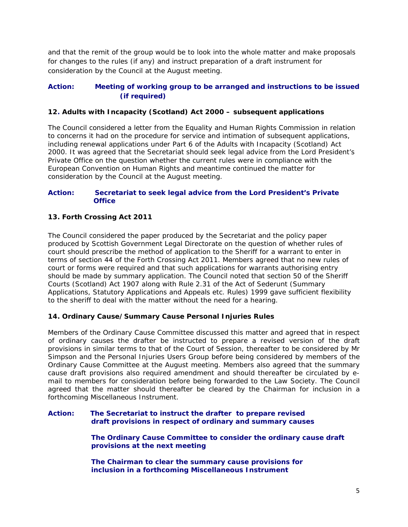and that the remit of the group would be to look into the whole matter and make proposals for changes to the rules (if any) and instruct preparation of a draft instrument for consideration by the Council at the August meeting.

# **Action: Meeting of working group to be arranged and instructions to be issued (if required)**

# **12. Adults with Incapacity (Scotland) Act 2000 – subsequent applications**

The Council considered a letter from the Equality and Human Rights Commission in relation to concerns it had on the procedure for service and intimation of subsequent applications, including renewal applications under Part 6 of the Adults with Incapacity (Scotland) Act 2000. It was agreed that the Secretariat should seek legal advice from the Lord President's Private Office on the question whether the current rules were in compliance with the European Convention on Human Rights and meantime continued the matter for consideration by the Council at the August meeting.

### **Action: Secretariat to seek legal advice from the Lord President's Private Office**

# **13. Forth Crossing Act 2011**

The Council considered the paper produced by the Secretariat and the policy paper produced by Scottish Government Legal Directorate on the question of whether rules of court should prescribe the method of application to the Sheriff for a warrant to enter in terms of section 44 of the Forth Crossing Act 2011. Members agreed that no new rules of court or forms were required and that such applications for warrants authorising entry should be made by summary application. The Council noted that section 50 of the Sheriff Courts (Scotland) Act 1907 along with Rule 2.31 of the Act of Sederunt (Summary Applications, Statutory Applications and Appeals etc. Rules) 1999 gave sufficient flexibility to the sheriff to deal with the matter without the need for a hearing.

# **14. Ordinary Cause/Summary Cause Personal Injuries Rules**

Members of the Ordinary Cause Committee discussed this matter and agreed that in respect of ordinary causes the drafter be instructed to prepare a revised version of the draft provisions in similar terms to that of the Court of Session, thereafter to be considered by Mr Simpson and the Personal Injuries Users Group before being considered by members of the Ordinary Cause Committee at the August meeting. Members also agreed that the summary cause draft provisions also required amendment and should thereafter be circulated by email to members for consideration before being forwarded to the Law Society. The Council agreed that the matter should thereafter be cleared by the Chairman for inclusion in a forthcoming Miscellaneous Instrument.

### **Action: The Secretariat to instruct the drafter to prepare revised draft provisions in respect of ordinary and summary causes**

 **The Ordinary Cause Committee to consider the ordinary cause draft provisions at the next meeting** 

 **The Chairman to clear the summary cause provisions for inclusion in a forthcoming Miscellaneous Instrument**